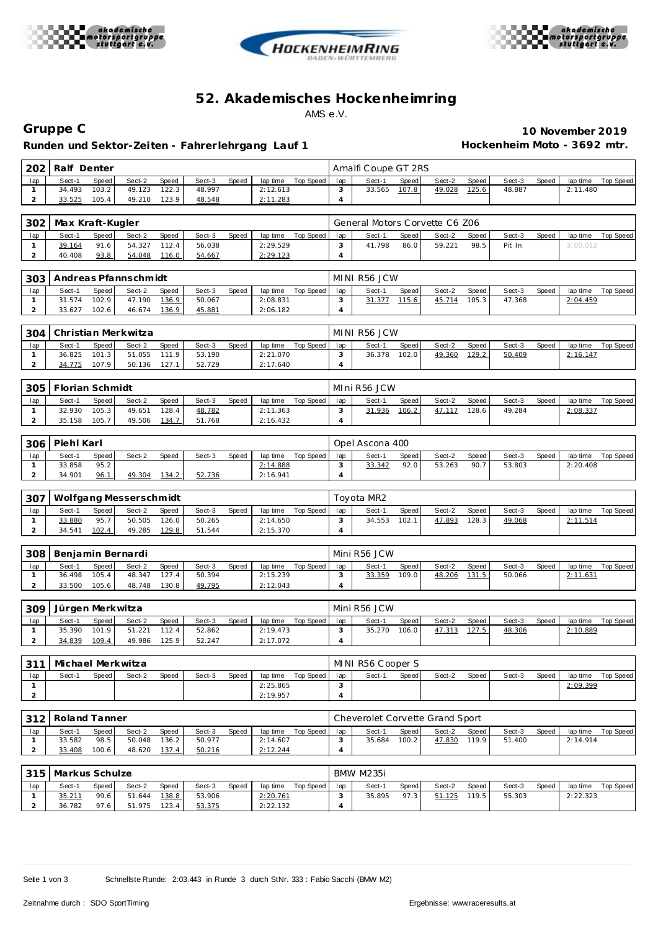





## **52. Akademisches Hockenhe imring** AMS e.V.

**Runden und Sektor-Zeiten - Fahrer lehrgang Lauf 1 Hockenheim Moto - 3692 mtr.**

**Gruppe C 10 November 2019**

| 202 | Ralf Denter |         |        |              |        |       |          |           |     | Amalfi Coupe GT 2RS |       |        |       |        |       |          |           |
|-----|-------------|---------|--------|--------------|--------|-------|----------|-----------|-----|---------------------|-------|--------|-------|--------|-------|----------|-----------|
| lap | Sect-1      | Speed I | Sect-2 | <b>Speed</b> | Sect-3 | Speed | lap time | Top Speed | lap | Sect-1              | Speed | Sect-2 | Speed | Sect-3 | Speed | lap time | Top Speed |
|     | 34.493      | 103.2   | 49.123 | 122.3.       | 48.997 |       | 2:12.613 |           |     | 33.565              | 107.8 | 49.028 | 125.6 | 48.887 |       | 2:11.480 |           |
|     | 33.525      | 105.4   | 49.210 | 123.9        | 48.548 |       | 2:11.283 |           |     |                     |       |        |       |        |       |          |           |

|     | 302   Max Kraft-Kugler |         |        |              |        |       |          |           |     | General Motors Corvette C6 Z06 |       |        |       |        |       |          |           |
|-----|------------------------|---------|--------|--------------|--------|-------|----------|-----------|-----|--------------------------------|-------|--------|-------|--------|-------|----------|-----------|
| lap | Sect-1                 | Speed I | Sect-2 | <b>Speed</b> | Sect-3 | Speed | lap time | Top Speed | lap | Sect-1                         | Speed | Sect-2 | Speed | Sect-3 | Speed | lap time | Top Speed |
|     | 39.164                 | 91.6    | 54.327 | 112.4        | 56.038 |       | 2:29.529 |           |     | 41.798                         | 86.0  | 59.221 | 98.5  | Pit In |       | 3:00.012 |           |
|     | 40.408                 | 93.8    | 54.048 | 116.0        | 54.667 |       | 2:29.123 |           |     |                                |       |        |       |        |       |          |           |

| 303 |        |       | Andreas Pfannschmidt |              |        |       |          |           |     | MINI R56 JCW |       |        |       |        |       |          |           |
|-----|--------|-------|----------------------|--------------|--------|-------|----------|-----------|-----|--------------|-------|--------|-------|--------|-------|----------|-----------|
| lap | Sect-1 | Speed | Sect-2               | <b>Speed</b> | Sect-3 | Speed | lap time | Top Speed | lap | Sect-1       | Speed | Sect-2 | Speed | Sect-3 | Speed | lap time | Top Speed |
|     | 31.574 | 102.9 | 47.190               | 136.9        | 50.067 |       | 2:08.831 |           |     | .377         | 15.6  | 45.714 | 105.3 | 47.368 |       | 2:04.459 |           |
|     | 33.627 | 102.6 | 46.674               | 136.9        | 45.881 |       | 2:06.182 |           |     |              |       |        |       |        |       |          |           |

|     | 304   Christian Merkwitza |       |        |              |        |       |          |             |     | MINI R56 JCW |              |        |       |        |       |          |           |
|-----|---------------------------|-------|--------|--------------|--------|-------|----------|-------------|-----|--------------|--------------|--------|-------|--------|-------|----------|-----------|
| lap | Sect-1                    | Speed | Sect-2 | <b>Speed</b> | Sect-3 | Speed | lap time | Top Speed i | lap | Sect-1       | <b>Speed</b> | Sect-2 | Speed | Sect-3 | Speed | lap time | Top Speed |
|     | 36.825                    | 101.3 | 51.055 | 111.9        | 53.190 |       | 2:21.070 |             |     | 36.378       | 102.0        | 49.360 | 129.2 | 50.409 |       | 2:16.147 |           |
|     | 34.775                    | 107.9 | 50.136 | 127.1        | 52.729 |       | 2:17.640 |             |     |              |              |        |       |        |       |          |           |

| 305 | Florian Schmidt |       |        |       |        |       | MIni R56 JCW |           |     |        |       |        |       |        |       |          |           |
|-----|-----------------|-------|--------|-------|--------|-------|--------------|-----------|-----|--------|-------|--------|-------|--------|-------|----------|-----------|
| lap | Sect-1          | Speed | Sect-2 | Speed | Sect-3 | Speed | lap time     | Top Speed | lap | Sect-1 | Speed | Sect-2 | Speed | Sect-3 | Speed | lap time | Top Speed |
|     | 32.930          | 105.3 | 49.651 | 128.4 | 48.782 |       | 2:11.363     |           |     | 31.936 | 106.2 | 47.117 | 128.6 | 49.284 |       | 2:08.337 |           |
|     | 35.158          | 105.7 | 49.506 | 134.7 | 51.768 |       | 2:16.432     |           |     |        |       |        |       |        |       |          |           |

| 306 | Piehl Karl |       |        |       |        |       |          |           |     | Opel Ascona 400 |       |        |       |        |       |          |           |
|-----|------------|-------|--------|-------|--------|-------|----------|-----------|-----|-----------------|-------|--------|-------|--------|-------|----------|-----------|
| lap | Sect-1     | Speed | Sect-2 | Speed | Sect-3 | Speed | lap time | Top Speed | lap | Sect-1          | Speed | Sect-2 | Speed | Sect-3 | Speed | lap time | Top Speed |
|     | 33.858     | 95.2  |        |       |        |       | 2:14.888 |           |     | 33.342          | 92.0  | 53.263 | 90.7  | 53.803 |       | 2:20.408 |           |
|     | 34.901     | 96.1  | 49.304 | 134.2 | 52.736 |       | 2:16.941 |           |     |                 |       |        |       |        |       |          |           |

| - 307 |        |         | Wolfgang Messerschmidt |       |        |       |          |           |     | Tovota MR2 |       |        |       |        |       |          |           |
|-------|--------|---------|------------------------|-------|--------|-------|----------|-----------|-----|------------|-------|--------|-------|--------|-------|----------|-----------|
| lap   | Sect-1 | Speed I | Sect-2                 | Speed | Sect-3 | Speed | lap time | Top Speed | lap | Sect-1     | Speed | Sect-2 | Speed | Sect-3 | Speed | lap time | Top Speed |
|       | 33.880 | 95.7    | 50.505                 | 126.0 | 50.265 |       | 2:14.650 |           |     | 34.553     | 102.1 | 47.893 | 128.3 | 49.068 |       | 2:11.514 |           |
|       | 34.541 | 102.4   | 49.285                 | 129.8 | 51.544 |       | 2:15.370 |           |     |            |       |        |       |        |       |          |           |

| $-308$ | l Benjamin Bernardi |       |        |       |        |       |          |             |     | Mini R56 JCW |         |        |       |        |       |          |           |
|--------|---------------------|-------|--------|-------|--------|-------|----------|-------------|-----|--------------|---------|--------|-------|--------|-------|----------|-----------|
| lap    | Sect-1              | Speed | Sect-2 | Speed | Sect-3 | Speed | lap time | Top Speed I | lap | Sect-1       | Speed I | Sect-2 | Speed | Sect-3 | Speed | lap time | Top Speed |
|        | 36.498              | 105.4 | 48.347 | 127.4 | 50.394 |       | 2:15.239 |             |     | 33.359       | 109.0   | 48.206 | 131.5 | 50.066 |       | 2:11.631 |           |
|        | 33.500              | 105.6 | 48.748 | 130.8 | 49.795 |       | 2:12.043 |             |     |              |         |        |       |        |       |          |           |

| 309 | Jürgen Merkwitza |       |        |              |        |       |          |             |     | Mini R56 JCW |       |        |       |        |       |          |           |
|-----|------------------|-------|--------|--------------|--------|-------|----------|-------------|-----|--------------|-------|--------|-------|--------|-------|----------|-----------|
| lap | Sect-1           | Speed | Sect-2 | <b>Speed</b> | Sect-3 | Speed | lap time | Top Speed I | lap | Sect-1       | Speed | Sect-2 | Speed | Sect-3 | Speed | lap time | Top Speed |
|     | 35.390           | 101.9 | 51.221 | 112.4        | 52.862 |       | 2:19.473 |             |     | 35.270       | 106.0 | 47.313 | 127.5 | 48.306 |       | 2:10.889 |           |
|     | 34.839           | 109.4 | 49.986 | 125.9        | 52.247 |       | 2:17.072 |             |     |              |       |        |       |        |       |          |           |

| 211 | l Michael Merkwitza |       |        |       |        |       |          |           |     | MINI R56 Cooper S |       |        |       |        |       |          |           |
|-----|---------------------|-------|--------|-------|--------|-------|----------|-----------|-----|-------------------|-------|--------|-------|--------|-------|----------|-----------|
| lap | Sect-1              | Speed | Sect-2 | Speed | Sect-3 | Speed | lap time | Top Speed | lap | Sect-1            | Speed | Sect-2 | Speed | Sect-3 | Speed | lap time | Top Speed |
|     |                     |       |        |       |        |       | 2:25.865 |           |     |                   |       |        |       |        |       | 2:09.399 |           |
|     |                     |       |        |       |        |       | 2:19.957 |           |     |                   |       |        |       |        |       |          |           |

| 312 | Roland Tanner |       |        |              |        |       |          |           |     | Cheverolet Corvette Grand Sport |         |        |        |        |       |          |           |
|-----|---------------|-------|--------|--------------|--------|-------|----------|-----------|-----|---------------------------------|---------|--------|--------|--------|-------|----------|-----------|
| lap | Sect-1        | Speed | Sect-2 | <b>Speed</b> | Sect-3 | Speed | lap time | Top Speed | lap | Sect-1                          | Speed I | Sect-2 | Speed  | Sect-3 | Speed | lap time | Top Speed |
|     | 33.582        | 98.5  | 50.048 | 136.2        | 50.977 |       | 2:14.607 |           |     | 35.684                          | 100.2   | 47.830 | 119.91 | 51.400 |       | 2:14.914 |           |
|     | 33.408        | 100.6 | 48.620 | 137.4        | 50.216 |       | 2:12.244 |           |     |                                 |         |        |        |        |       |          |           |

|     | 315   Markus Schulze |       |        |       |        |              |          |           |     | BMW M235i |       |        |       |        |              |          |           |
|-----|----------------------|-------|--------|-------|--------|--------------|----------|-----------|-----|-----------|-------|--------|-------|--------|--------------|----------|-----------|
| lap | Sect-1               | Speed | Sect-2 | Speed | Sect-3 | <b>Speed</b> | lap time | Top Speed | lap | Sect-1    | Speed | Sect-2 | Speed | Sect-3 | <b>Speed</b> | lap time | Top Speed |
|     | 35.211               | 99.6  | 51.644 | 138.8 | 53.906 |              | 2:20.761 |           |     | 35.895    | 97.3  | 51.125 | 119.5 | 55.303 |              | 2:22.323 |           |
|     | 36.782               | 97.6  | 51.975 | 123.4 | 53.375 |              | 2:22.132 |           |     |           |       |        |       |        |              |          |           |

Seite 1 von 3 Schnellste Runde: 2:03.443 in Runde 3 durch StNr. 333 : Fabio Sacchi (BMW M2)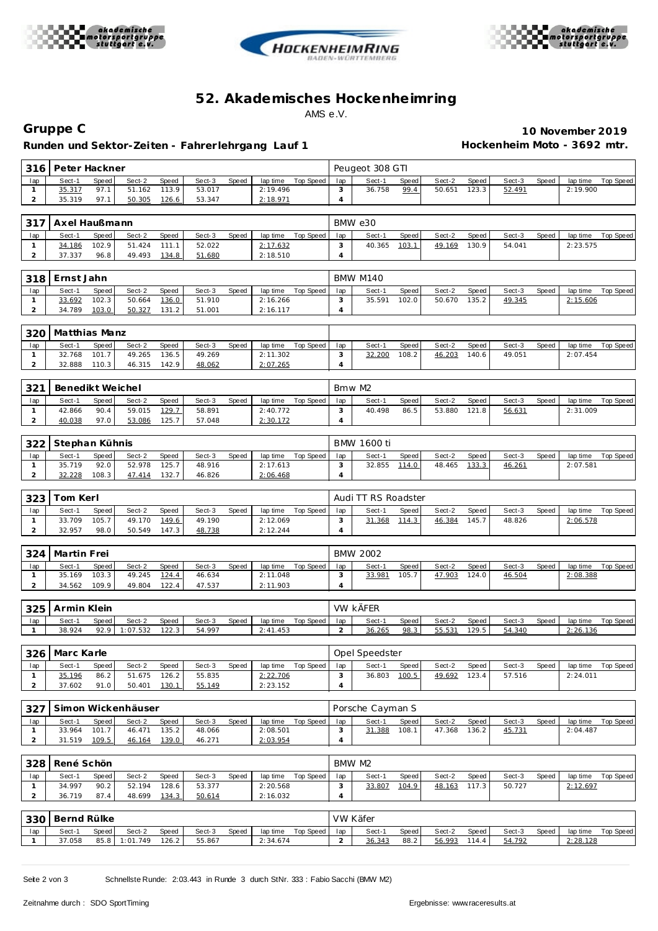





## **52. Akademisches Hockenhe imring** AMS e.V.

**Runden und Sektor-Zeiten - Fahrer lehrgang Lauf 1 Hockenheim Moto - 3692 mtr.**

**Gruppe C 10 November 2019**

| 316 I                          | Peter Hackner    |                |                    |                |                  |       |                      |                    |                       | Peugeot 308 GTI     |                |                  |                |                  |       |                      |                    |
|--------------------------------|------------------|----------------|--------------------|----------------|------------------|-------|----------------------|--------------------|-----------------------|---------------------|----------------|------------------|----------------|------------------|-------|----------------------|--------------------|
| lap                            | Sect-1           | Speed          | Sect-2             | Speed          | Sect-3           | Speed | lap time             | Top Speed          | lap                   | Sect-1              | Speed          | Sect-2           | Speed          | Sect-3           | Speed | lap time             | Top Speed          |
| $\mathbf{1}$                   | 35.317           | 97.1           | 51.162             | 113.9          | 53.017           |       | 2:19.496             |                    | 3                     | 36.758              | 99.4           | 50.651           | 123.3          | 52.491           |       | 2:19.900             |                    |
| $\overline{a}$                 | 35.319           | 97.1           | 50.305             | 126.6          | 53.347           |       | 2:18.971             |                    | $\overline{4}$        |                     |                |                  |                |                  |       |                      |                    |
|                                |                  |                |                    |                |                  |       |                      |                    |                       |                     |                |                  |                |                  |       |                      |                    |
| 317                            | Axel Haußmann    |                |                    |                |                  |       |                      |                    |                       | BMW e30             |                |                  |                |                  |       |                      |                    |
| lap                            | Sect-1           | Speed          | Sect-2             | Speed          | Sect-3           | Speed | lap time             | Top Speed          | lap                   | Sect-1              | Speed          | Sect-2           | Speed          | Sect-3           | Speed | lap time             | <b>Top Speed</b>   |
| $\mathbf{1}$                   | 34.186           | 102.9          | 51.424             | 111.1          | 52.022           |       | 2:17.632             |                    | 3                     | 40.365              | 103.1          | 49.169           | 130.9          | 54.041           |       | 2:23.575             |                    |
| $\overline{a}$                 | 37.337           | 96.8           | 49.493             | 134.8          | 51.680           |       | 2:18.510             |                    | $\overline{4}$        |                     |                |                  |                |                  |       |                      |                    |
|                                |                  |                |                    |                |                  |       |                      |                    |                       |                     |                |                  |                |                  |       |                      |                    |
| 318                            | Ernst Jahn       |                |                    |                |                  |       |                      |                    |                       | <b>BMW M140</b>     |                |                  |                |                  |       |                      |                    |
| lap                            | Sect-1           | Speed          | Sect-2             | Speed          | Sect-3           | Speed | lap time             | Top Speed          | lap                   | Sect-1              | Speed          | Sect-2           | Speed          | Sect-3           | Speed | lap time             | <b>Top Speed</b>   |
| 1                              | 33.692           | 102.3          | 50.664             | 136.0          | 51.910           |       | 2:16.266             |                    | 3                     | 35.591              | 102.0          | 50.670           | 135.2          | 49.345           |       | 2:15.606             |                    |
| $\overline{a}$                 | 34.789           | 103.0          | 50.327             | 131.2          | 51.001           |       | 2:16.117             |                    | 4                     |                     |                |                  |                |                  |       |                      |                    |
|                                |                  |                |                    |                |                  |       |                      |                    |                       |                     |                |                  |                |                  |       |                      |                    |
| 320                            | Matthias Manz    |                |                    |                |                  |       |                      |                    |                       |                     |                |                  |                |                  |       |                      |                    |
| lap                            | Sect-1           | Speed          | Sect-2             | Speed          | Sect-3           | Speed | lap time             | Top Speed          | lap                   | Sect-1              | Speed          | Sect-2           | Speed          | Sect-3           | Speed | lap time             | <b>Top Speed</b>   |
| 1<br>$\overline{a}$            | 32.768<br>32.888 | 101.7<br>110.3 | 49.265<br>46.315   | 136.5<br>142.9 | 49.269<br>48.062 |       | 2:11.302<br>2:07.265 |                    | 3<br>$\overline{4}$   | 32.200              | 108.2          | 46.203           | 140.6          | 49.051           |       | 2:07.454             |                    |
|                                |                  |                |                    |                |                  |       |                      |                    |                       |                     |                |                  |                |                  |       |                      |                    |
|                                |                  |                |                    |                |                  |       |                      |                    |                       |                     |                |                  |                |                  |       |                      |                    |
| 321                            | Benedikt Weichel |                |                    |                |                  |       |                      |                    | Bmw M2                |                     |                |                  |                |                  |       |                      |                    |
| lap                            | Sect-1           | Speed          | Sect-2             | Speed          | Sect-3           | Speed | lap time             | Top Speed          | lap                   | Sect-1              | Speed          | Sect-2           | Speed          | Sect-3           | Speed | lap time             | <b>Top Speed</b>   |
| $\mathbf{1}$<br>$\overline{2}$ | 42.866<br>40.038 | 90.4<br>97.0   | 59.015<br>53.086   | 129.7<br>125.7 | 58.891<br>57.048 |       | 2:40.772<br>2:30.172 |                    | 3<br>$\overline{4}$   | 40.498              | 86.5           | 53.880           | 121.8          | 56.631           |       | 2:31.009             |                    |
|                                |                  |                |                    |                |                  |       |                      |                    |                       |                     |                |                  |                |                  |       |                      |                    |
| 322                            | Stephan Kühnis   |                |                    |                |                  |       |                      |                    |                       | <b>BMW 1600 ti</b>  |                |                  |                |                  |       |                      |                    |
|                                |                  |                |                    |                |                  |       |                      |                    |                       |                     |                |                  |                |                  |       |                      |                    |
| lap<br>$\mathbf{1}$            | Sect-1<br>35.719 | Speed<br>92.0  | Sect-2<br>52.978   | Speed<br>125.7 | Sect-3<br>48.916 | Speed | lap time<br>2:17.613 | Top Speed          | lap<br>3              | Sect-1<br>32.855    | Speed<br>114.0 | Sect-2<br>48.465 | Speed<br>133.3 | Sect-3<br>46.261 | Speed | lap time<br>2:07.581 | Top Speed          |
| $\overline{a}$                 | 32.228           | 108.3          | 47.414             | 132.7          | 46.826           |       | 2:06.468             |                    | 4                     |                     |                |                  |                |                  |       |                      |                    |
|                                |                  |                |                    |                |                  |       |                      |                    |                       |                     |                |                  |                |                  |       |                      |                    |
| 323                            | Tom Kerl         |                |                    |                |                  |       |                      |                    |                       | Audi TT RS Roadster |                |                  |                |                  |       |                      |                    |
|                                |                  |                |                    |                |                  |       |                      |                    |                       |                     |                |                  |                |                  |       |                      |                    |
|                                |                  |                |                    |                |                  |       |                      |                    |                       |                     |                |                  |                |                  |       |                      |                    |
| lap                            | Sect-1           | Speed          | Sect-2             | Speed          | Sect-3           | Speed | lap time             | Top Speed          | lap                   | Sect-1              | Speed          | Sect-2           | Speed          | Sect-3           | Speed | lap time             | <b>Top Speed</b>   |
| $\mathbf{1}$<br>$\overline{a}$ | 33.709<br>32.957 | 105.7<br>98.0  | 49.170<br>50.549   | 149.6          | 49.190           |       | 2:12.069<br>2:12.244 |                    | 3<br>$\overline{4}$   | 31.368              | 114.3          | 46.384           | 145.7          | 48.826           |       | 2:06.578             |                    |
|                                |                  |                |                    | 147.3          | 48.738           |       |                      |                    |                       |                     |                |                  |                |                  |       |                      |                    |
| 324                            | Martin Frei      |                |                    |                |                  |       |                      |                    |                       | <b>BMW 2002</b>     |                |                  |                |                  |       |                      |                    |
| lap                            | Sect-1           | Speed          | Sect-2             | Speed          | Sect-3           | Speed |                      | Top Speed          | lap                   | Sect-1              | Speed          | Sect-2           | Speed          | Sect-3           | Speed | lap time             | Top Speed          |
| $\mathbf{1}$                   | 35.169           | 103.3          | 49.245             | 124.4          | 46.634           |       | lap time<br>2:11.048 |                    | 3                     | 33.981              | 105.7          | 47.903           | 124.0          | 46.504           |       | 2:08.388             |                    |
| $\overline{a}$                 | 34.562           | 109.9          | 49.804             | 122.4          | 47.537           |       | 2:11.903             |                    | $\overline{4}$        |                     |                |                  |                |                  |       |                      |                    |
|                                |                  |                |                    |                |                  |       |                      |                    |                       |                     |                |                  |                |                  |       |                      |                    |
| 325                            | Armin Klein      |                |                    |                |                  |       |                      |                    |                       | VW KÄFER            |                |                  |                |                  |       |                      |                    |
| lap                            | Sect-1           | Speed          | Sect-2             | Speed          | Sect-3           | Speed | lap time             | Top Speed          | lap                   | Sect-1              | Speed          | Sect-2           | Speed          | Sect-3           | Speed | lap time             | Top Speed          |
| $\mathbf{1}$                   | 38.924           | 92.9           | 1:07.532           | 122.3          | 54.997           |       | 2:41.453             |                    | $\overline{a}$        | 36.265              | 98.3           | 55.531           | 129.5          | 54.340           |       | 2:26.136             |                    |
|                                |                  |                |                    |                |                  |       |                      |                    |                       |                     |                |                  |                |                  |       |                      |                    |
|                                | 326 Marc Karle   |                |                    |                |                  |       |                      |                    |                       | Opel Speedster      |                |                  |                |                  |       |                      |                    |
| lap                            | Sect-1           | Speed          | Sect-2             | Speed          | Sect-3           | Speed |                      | lap time Top Speed | lap                   | Sect-1              | Speed          | Sect-2           | Speed          | Sect-3           | Speed |                      | lap time Top Speed |
| $\mathbf{1}$                   | 35.196           | 86.2           | 51.675             | 126.2          | 55.835           |       | 2:22.706             |                    | 3                     | 36.803              | 100.5          | 49.692           | 123.4          | 57.516           |       | 2:24.011             |                    |
| $\overline{2}$                 | 37.602           | 91.0           | 50.401             | 130.1          | 55.149           |       | 2:23.152             |                    | $\overline{4}$        |                     |                |                  |                |                  |       |                      |                    |
|                                |                  |                |                    |                |                  |       |                      |                    |                       |                     |                |                  |                |                  |       |                      |                    |
| 327                            |                  |                | Simon Wickenhäuser |                |                  |       |                      |                    |                       | Porsche Cayman S    |                |                  |                |                  |       |                      |                    |
| lap                            | Sect-1           | Speed          | Sect-2             | Speed          | Sect-3           | Speed | lap time             | Top Speed          | lap                   | Sect-1              | Speed          | Sect-2           | Speed          | Sect-3           | Speed | lap time             | Top Speed          |
| $\mathbf{1}$                   | 33.964           | 101.7          | 46.471             | 135.2          | 48.066           |       | 2:08.501             |                    | 3                     | 31.388              | 108.1          | 47.368 136.2     |                | 45.731           |       | 2:04.487             |                    |
| $\overline{a}$                 | 31.519           | 109.5          | 46.164             | 139.0          | 46.271           |       | 2:03.954             |                    | $\overline{4}$        |                     |                |                  |                |                  |       |                      |                    |
|                                |                  |                |                    |                |                  |       |                      |                    |                       |                     |                |                  |                |                  |       |                      |                    |
| 328                            | René Schön       |                |                    |                |                  |       |                      |                    | BMW M2                |                     |                |                  |                |                  |       |                      |                    |
| lap                            | Sect-1           | Speed          | Sect-2             | Speed          | Sect-3           | Speed | lap time             | <b>Top Speed</b>   | lap                   | Sect-1              | Speed          | Sect-2           | Speed          | Sect-3           | Speed | lap time             | Top Speed          |
| $\mathbf{1}$                   | 34.997           | 90.2           | 52.194             | 128.6          | 53.377           |       | 2:20.568             |                    | 3                     | 33.807              | 104.9          | 48.163           | 117.3          | 50.727           |       | 2:12.697             |                    |
| $\overline{a}$                 | 36.719           | 87.4           | 48.699             | 134.3          | 50.614           |       | 2:16.032             |                    | $\overline{4}$        |                     |                |                  |                |                  |       |                      |                    |
|                                |                  |                |                    |                |                  |       |                      |                    |                       |                     |                |                  |                |                  |       |                      |                    |
| 330                            | Bernd Rülke      |                |                    |                |                  |       |                      |                    | VW Käfer              |                     |                |                  |                |                  |       |                      |                    |
| lap<br>$\mathbf{1}$            | Sect-1<br>37.058 | Speed<br>85.8  | Sect-2<br>1:01.749 | Speed<br>126.2 | Sect-3<br>55.867 | Speed | 2:34.674             | lap time Top Speed | lap<br>$\overline{a}$ | Sect-1<br>36.343    | Speed<br>88.2  | Sect-2<br>56.993 | Speed<br>114.4 | Sect-3<br>54.792 | Speed | 2:28.128             | lap time Top Speed |

Seite 2 von 3 Schnellste Runde: 2:03.443 in Runde 3 durch StNr. 333 : Fabio Sacchi (BMW M2)